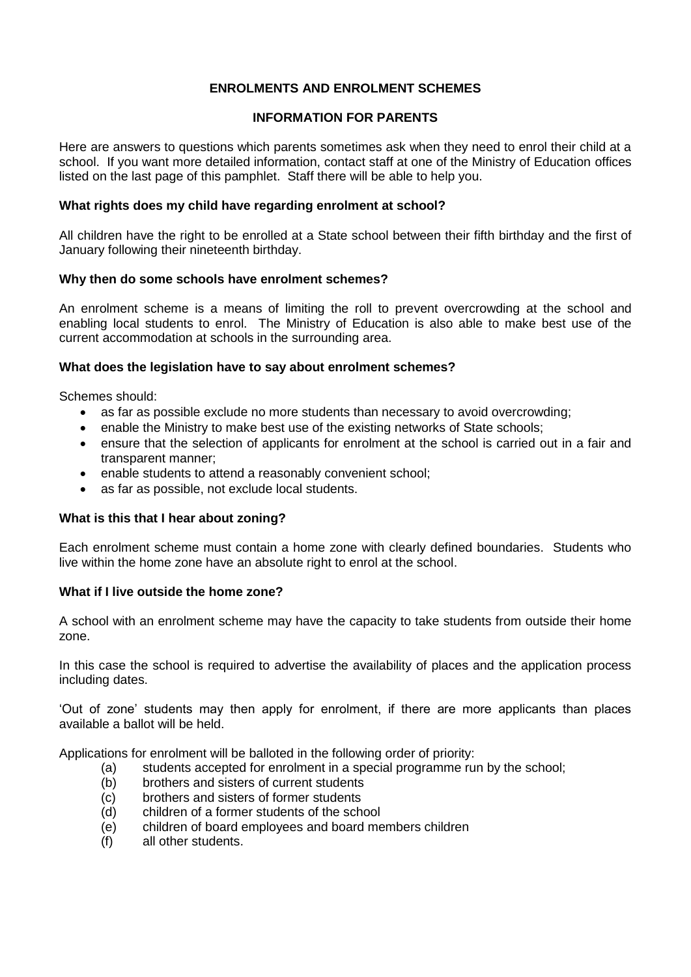# **ENROLMENTS AND ENROLMENT SCHEMES**

# **INFORMATION FOR PARENTS**

Here are answers to questions which parents sometimes ask when they need to enrol their child at a school. If you want more detailed information, contact staff at one of the Ministry of Education offices listed on the last page of this pamphlet. Staff there will be able to help you.

#### **What rights does my child have regarding enrolment at school?**

All children have the right to be enrolled at a State school between their fifth birthday and the first of January following their nineteenth birthday.

#### **Why then do some schools have enrolment schemes?**

An enrolment scheme is a means of limiting the roll to prevent overcrowding at the school and enabling local students to enrol. The Ministry of Education is also able to make best use of the current accommodation at schools in the surrounding area.

#### **What does the legislation have to say about enrolment schemes?**

Schemes should:

- as far as possible exclude no more students than necessary to avoid overcrowding;
- enable the Ministry to make best use of the existing networks of State schools;
- ensure that the selection of applicants for enrolment at the school is carried out in a fair and transparent manner;
- enable students to attend a reasonably convenient school;
- as far as possible, not exclude local students.

# **What is this that I hear about zoning?**

Each enrolment scheme must contain a home zone with clearly defined boundaries. Students who live within the home zone have an absolute right to enrol at the school.

# **What if I live outside the home zone?**

A school with an enrolment scheme may have the capacity to take students from outside their home zone.

In this case the school is required to advertise the availability of places and the application process including dates.

'Out of zone' students may then apply for enrolment, if there are more applicants than places available a ballot will be held.

Applications for enrolment will be balloted in the following order of priority:

- (a) students accepted for enrolment in a special programme run by the school;
- (b) brothers and sisters of current students
- (c) brothers and sisters of former students
- (d) children of a former students of the school
- (e) children of board employees and board members children
- (f) all other students.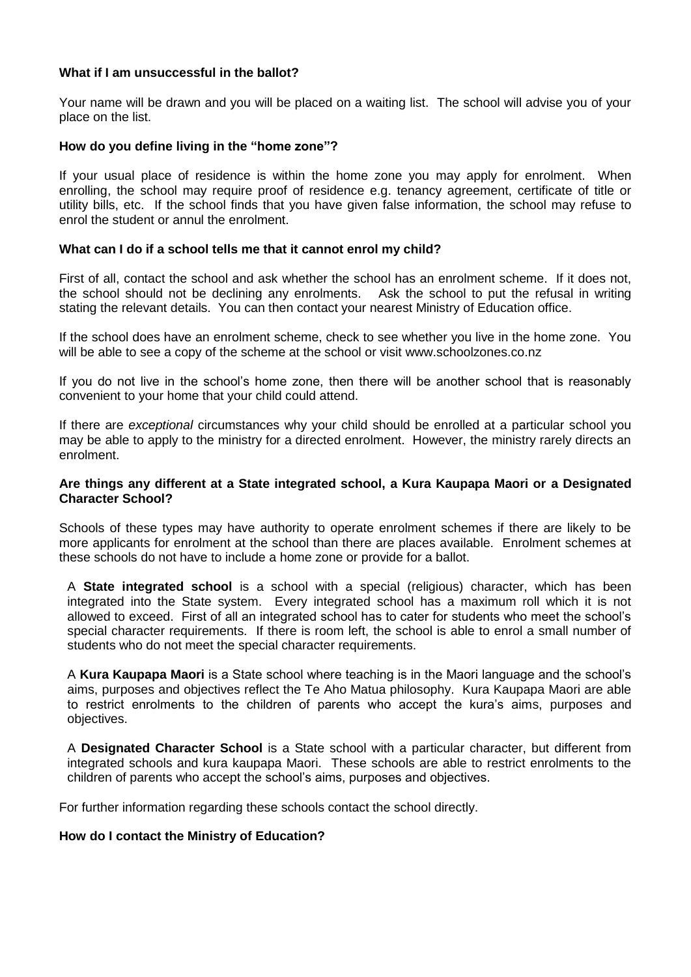#### **What if I am unsuccessful in the ballot?**

Your name will be drawn and you will be placed on a waiting list. The school will advise you of your place on the list.

#### **How do you define living in the "home zone"?**

If your usual place of residence is within the home zone you may apply for enrolment. When enrolling, the school may require proof of residence e.g. tenancy agreement, certificate of title or utility bills, etc. If the school finds that you have given false information, the school may refuse to enrol the student or annul the enrolment.

#### **What can I do if a school tells me that it cannot enrol my child?**

First of all, contact the school and ask whether the school has an enrolment scheme. If it does not, the school should not be declining any enrolments. Ask the school to put the refusal in writing stating the relevant details. You can then contact your nearest Ministry of Education office.

If the school does have an enrolment scheme, check to see whether you live in the home zone. You will be able to see a copy of the scheme at the school or visit www.schoolzones.co.nz

If you do not live in the school's home zone, then there will be another school that is reasonably convenient to your home that your child could attend.

If there are *exceptional* circumstances why your child should be enrolled at a particular school you may be able to apply to the ministry for a directed enrolment. However, the ministry rarely directs an enrolment.

#### **Are things any different at a State integrated school, a Kura Kaupapa Maori or a Designated Character School?**

Schools of these types may have authority to operate enrolment schemes if there are likely to be more applicants for enrolment at the school than there are places available. Enrolment schemes at these schools do not have to include a home zone or provide for a ballot.

A **State integrated school** is a school with a special (religious) character, which has been integrated into the State system. Every integrated school has a maximum roll which it is not allowed to exceed. First of all an integrated school has to cater for students who meet the school's special character requirements. If there is room left, the school is able to enrol a small number of students who do not meet the special character requirements.

A **Kura Kaupapa Maori** is a State school where teaching is in the Maori language and the school's aims, purposes and objectives reflect the Te Aho Matua philosophy. Kura Kaupapa Maori are able to restrict enrolments to the children of parents who accept the kura's aims, purposes and objectives.

A **Designated Character School** is a State school with a particular character, but different from integrated schools and kura kaupapa Maori. These schools are able to restrict enrolments to the children of parents who accept the school's aims, purposes and objectives.

For further information regarding these schools contact the school directly.

# **How do I contact the Ministry of Education?**